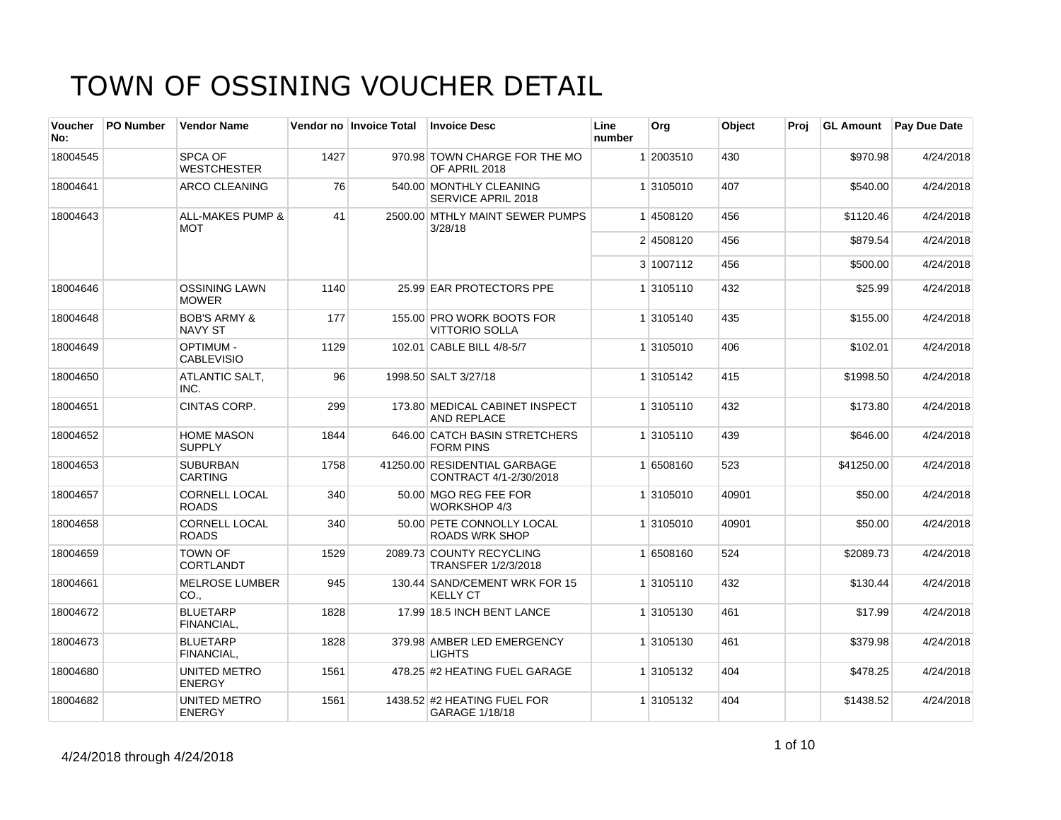| Voucher<br>No: | <b>PO Number</b> | <b>Vendor Name</b>                        |      | Vendor no Invoice Total | <b>Invoice Desc</b>                                    | Line<br>number | Org       | Object | Proj |            | <b>GL Amount</b> Pay Due Date |
|----------------|------------------|-------------------------------------------|------|-------------------------|--------------------------------------------------------|----------------|-----------|--------|------|------------|-------------------------------|
| 18004545       |                  | SPCA OF<br><b>WESTCHESTER</b>             | 1427 |                         | 970.98 TOWN CHARGE FOR THE MO<br>OF APRIL 2018         |                | 1 2003510 | 430    |      | \$970.98   | 4/24/2018                     |
| 18004641       |                  | <b>ARCO CLEANING</b>                      | 76   |                         | 540.00 MONTHLY CLEANING<br><b>SERVICE APRIL 2018</b>   |                | 1 3105010 | 407    |      | \$540.00   | 4/24/2018                     |
| 18004643       |                  | <b>ALL-MAKES PUMP &amp;</b><br><b>MOT</b> | 41   |                         | 2500.00 MTHLY MAINT SEWER PUMPS<br>3/28/18             |                | 1 4508120 | 456    |      | \$1120.46  | 4/24/2018                     |
|                |                  |                                           |      |                         |                                                        |                | 2 4508120 | 456    |      | \$879.54   | 4/24/2018                     |
|                |                  |                                           |      |                         |                                                        |                | 3 1007112 | 456    |      | \$500.00   | 4/24/2018                     |
| 18004646       |                  | <b>OSSINING LAWN</b><br><b>MOWER</b>      | 1140 |                         | 25.99 EAR PROTECTORS PPE                               |                | 1 3105110 | 432    |      | \$25.99    | 4/24/2018                     |
| 18004648       |                  | <b>BOB'S ARMY &amp;</b><br><b>NAVY ST</b> | 177  |                         | 155.00 PRO WORK BOOTS FOR<br><b>VITTORIO SOLLA</b>     |                | 1 3105140 | 435    |      | \$155.00   | 4/24/2018                     |
| 18004649       |                  | <b>OPTIMUM-</b><br><b>CABLEVISIO</b>      | 1129 |                         | 102.01 CABLE BILL 4/8-5/7                              |                | 1 3105010 | 406    |      | \$102.01   | 4/24/2018                     |
| 18004650       |                  | ATLANTIC SALT,<br>INC.                    | 96   |                         | 1998.50 SALT 3/27/18                                   |                | 1 3105142 | 415    |      | \$1998.50  | 4/24/2018                     |
| 18004651       |                  | CINTAS CORP.                              | 299  |                         | 173.80 MEDICAL CABINET INSPECT<br><b>AND REPLACE</b>   |                | 1 3105110 | 432    |      | \$173.80   | 4/24/2018                     |
| 18004652       |                  | <b>HOME MASON</b><br><b>SUPPLY</b>        | 1844 |                         | 646.00 CATCH BASIN STRETCHERS<br><b>FORM PINS</b>      |                | 1 3105110 | 439    |      | \$646.00   | 4/24/2018                     |
| 18004653       |                  | <b>SUBURBAN</b><br><b>CARTING</b>         | 1758 |                         | 41250.00 RESIDENTIAL GARBAGE<br>CONTRACT 4/1-2/30/2018 |                | 1 6508160 | 523    |      | \$41250.00 | 4/24/2018                     |
| 18004657       |                  | <b>CORNELL LOCAL</b><br><b>ROADS</b>      | 340  |                         | 50.00 MGO REG FEE FOR<br>WORKSHOP 4/3                  |                | 1 3105010 | 40901  |      | \$50.00    | 4/24/2018                     |
| 18004658       |                  | <b>CORNELL LOCAL</b><br><b>ROADS</b>      | 340  |                         | 50.00 PETE CONNOLLY LOCAL<br><b>ROADS WRK SHOP</b>     |                | 1 3105010 | 40901  |      | \$50.00    | 4/24/2018                     |
| 18004659       |                  | <b>TOWN OF</b><br>CORTLANDT               | 1529 |                         | 2089.73 COUNTY RECYCLING<br>TRANSFER 1/2/3/2018        |                | 1 6508160 | 524    |      | \$2089.73  | 4/24/2018                     |
| 18004661       |                  | <b>MELROSE LUMBER</b><br>CO.,             | 945  |                         | 130.44 SAND/CEMENT WRK FOR 15<br><b>KELLY CT</b>       |                | 1 3105110 | 432    |      | \$130.44   | 4/24/2018                     |
| 18004672       |                  | <b>BLUETARP</b><br>FINANCIAL.             | 1828 |                         | 17.99 18.5 INCH BENT LANCE                             |                | 1 3105130 | 461    |      | \$17.99    | 4/24/2018                     |
| 18004673       |                  | <b>BLUETARP</b><br>FINANCIAL.             | 1828 |                         | 379.98 AMBER LED EMERGENCY<br><b>LIGHTS</b>            |                | 1 3105130 | 461    |      | \$379.98   | 4/24/2018                     |
| 18004680       |                  | UNITED METRO<br><b>ENERGY</b>             | 1561 |                         | 478.25 #2 HEATING FUEL GARAGE                          |                | 1 3105132 | 404    |      | \$478.25   | 4/24/2018                     |
| 18004682       |                  | <b>UNITED METRO</b><br><b>ENERGY</b>      | 1561 |                         | 1438.52 #2 HEATING FUEL FOR<br>GARAGE 1/18/18          |                | 1 3105132 | 404    |      | \$1438.52  | 4/24/2018                     |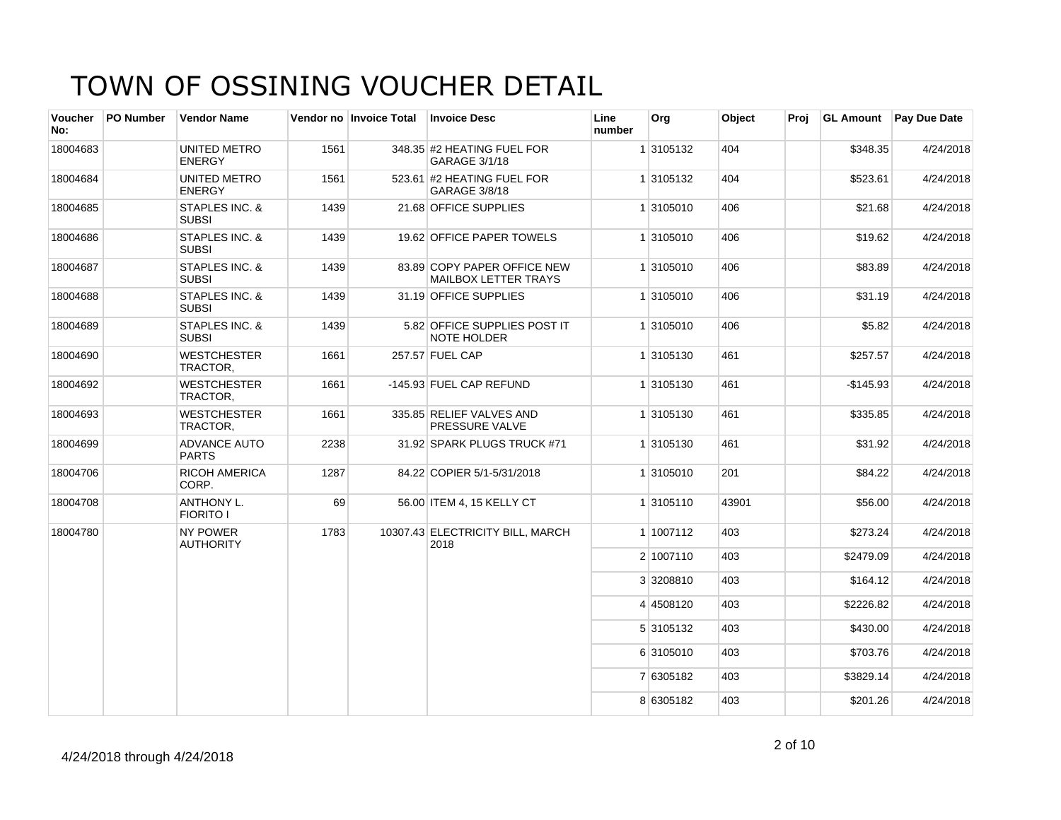| <b>Voucher</b><br>No: | PO Number | <b>Vendor Name</b>                    |      | Vendor no Invoice Total | <b>Invoice Desc</b>                                        | Line<br>number | Org       | Object | Proj |            | <b>GL Amount</b> Pay Due Date |
|-----------------------|-----------|---------------------------------------|------|-------------------------|------------------------------------------------------------|----------------|-----------|--------|------|------------|-------------------------------|
| 18004683              |           | UNITED METRO<br><b>ENERGY</b>         | 1561 |                         | 348.35 #2 HEATING FUEL FOR<br>GARAGE 3/1/18                |                | 1 3105132 | 404    |      | \$348.35   | 4/24/2018                     |
| 18004684              |           | UNITED METRO<br><b>ENERGY</b>         | 1561 |                         | 523.61 #2 HEATING FUEL FOR<br>GARAGE 3/8/18                |                | 1 3105132 | 404    |      | \$523.61   | 4/24/2018                     |
| 18004685              |           | STAPLES INC. &<br><b>SUBSI</b>        | 1439 |                         | 21.68 OFFICE SUPPLIES                                      |                | 1 3105010 | 406    |      | \$21.68    | 4/24/2018                     |
| 18004686              |           | STAPLES INC. &<br><b>SUBSI</b>        | 1439 |                         | 19.62 OFFICE PAPER TOWELS                                  |                | 1 3105010 | 406    |      | \$19.62    | 4/24/2018                     |
| 18004687              |           | STAPLES INC. &<br><b>SUBSI</b>        | 1439 |                         | 83.89 COPY PAPER OFFICE NEW<br><b>MAILBOX LETTER TRAYS</b> |                | 1 3105010 | 406    |      | \$83.89    | 4/24/2018                     |
| 18004688              |           | STAPLES INC. &<br><b>SUBSI</b>        | 1439 |                         | 31.19 OFFICE SUPPLIES                                      |                | 1 3105010 | 406    |      | \$31.19    | 4/24/2018                     |
| 18004689              |           | STAPLES INC. &<br><b>SUBSI</b>        | 1439 |                         | 5.82 OFFICE SUPPLIES POST IT<br><b>NOTE HOLDER</b>         |                | 1 3105010 | 406    |      | \$5.82     | 4/24/2018                     |
| 18004690              |           | <b>WESTCHESTER</b><br>TRACTOR,        | 1661 |                         | 257.57 FUEL CAP                                            |                | 1 3105130 | 461    |      | \$257.57   | 4/24/2018                     |
| 18004692              |           | <b>WESTCHESTER</b><br>TRACTOR,        | 1661 |                         | -145.93 FUEL CAP REFUND                                    |                | 1 3105130 | 461    |      | $-$145.93$ | 4/24/2018                     |
| 18004693              |           | <b>WESTCHESTER</b><br>TRACTOR,        | 1661 |                         | 335.85 RELIEF VALVES AND<br>PRESSURE VALVE                 |                | 1 3105130 | 461    |      | \$335.85   | 4/24/2018                     |
| 18004699              |           | <b>ADVANCE AUTO</b><br><b>PARTS</b>   | 2238 |                         | 31.92 SPARK PLUGS TRUCK #71                                |                | 1 3105130 | 461    |      | \$31.92    | 4/24/2018                     |
| 18004706              |           | RICOH AMERICA<br>CORP.                | 1287 |                         | 84.22 COPIER 5/1-5/31/2018                                 |                | 1 3105010 | 201    |      | \$84.22    | 4/24/2018                     |
| 18004708              |           | <b>ANTHONY L.</b><br><b>FIORITO I</b> | 69   |                         | 56.00 ITEM 4, 15 KELLY CT                                  |                | 1 3105110 | 43901  |      | \$56.00    | 4/24/2018                     |
| 18004780              |           | NY POWER<br><b>AUTHORITY</b>          | 1783 |                         | 10307.43 ELECTRICITY BILL, MARCH<br>2018                   |                | 1 1007112 | 403    |      | \$273.24   | 4/24/2018                     |
|                       |           |                                       |      |                         |                                                            |                | 2 1007110 | 403    |      | \$2479.09  | 4/24/2018                     |
|                       |           |                                       |      |                         |                                                            |                | 3 3208810 | 403    |      | \$164.12   | 4/24/2018                     |
|                       |           |                                       |      |                         |                                                            |                | 4 4508120 | 403    |      | \$2226.82  | 4/24/2018                     |
|                       |           |                                       |      |                         |                                                            |                | 5 3105132 | 403    |      | \$430.00   | 4/24/2018                     |
|                       |           |                                       |      |                         |                                                            |                | 6 3105010 | 403    |      | \$703.76   | 4/24/2018                     |
|                       |           |                                       |      |                         |                                                            |                | 7 6305182 | 403    |      | \$3829.14  | 4/24/2018                     |
|                       |           |                                       |      |                         |                                                            |                | 8 6305182 | 403    |      | \$201.26   | 4/24/2018                     |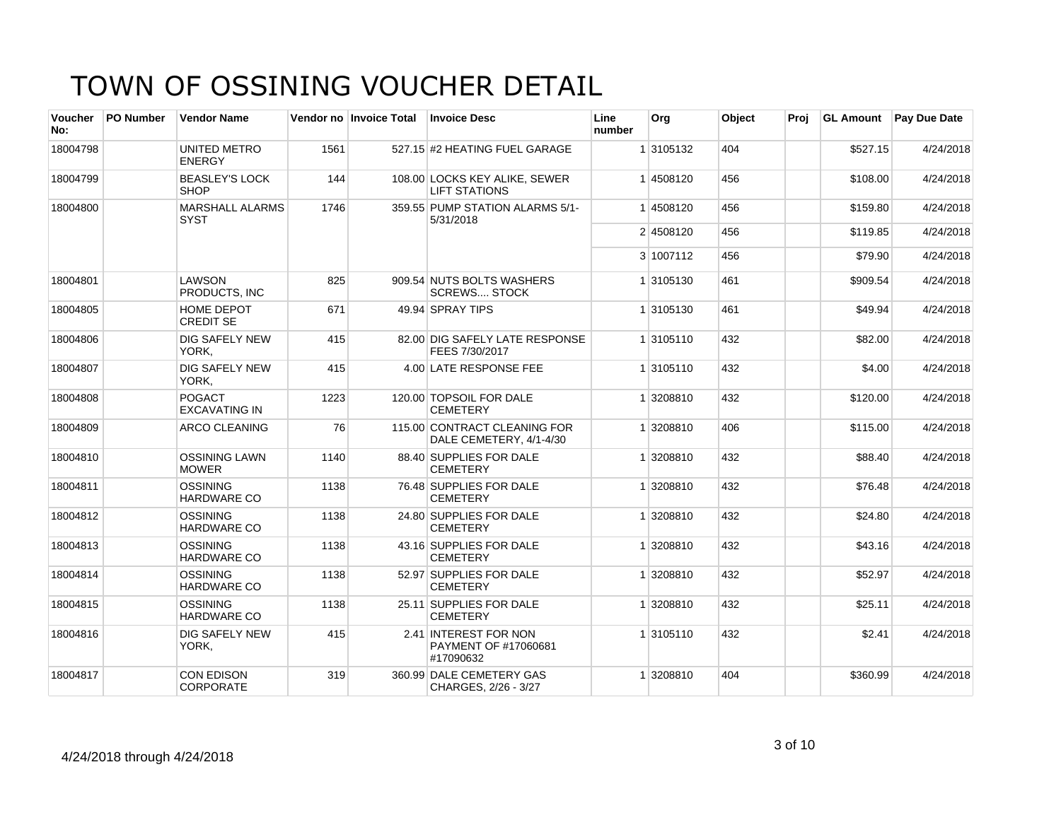| <b>Voucher</b><br>No: | <b>PO Number</b> | <b>Vendor Name</b>                    |      | Vendor no Invoice Total | <b>Invoice Desc</b>                                        | Line<br>number | Org       | Object | Proi |          | GL Amount Pay Due Date |
|-----------------------|------------------|---------------------------------------|------|-------------------------|------------------------------------------------------------|----------------|-----------|--------|------|----------|------------------------|
| 18004798              |                  | UNITED METRO<br><b>ENERGY</b>         | 1561 |                         | 527.15 #2 HEATING FUEL GARAGE                              |                | 1 3105132 | 404    |      | \$527.15 | 4/24/2018              |
| 18004799              |                  | <b>BEASLEY'S LOCK</b><br><b>SHOP</b>  | 144  |                         | 108.00 LOCKS KEY ALIKE, SEWER<br><b>LIFT STATIONS</b>      |                | 14508120  | 456    |      | \$108.00 | 4/24/2018              |
| 18004800              |                  | <b>MARSHALL ALARMS</b><br><b>SYST</b> | 1746 |                         | 359.55 PUMP STATION ALARMS 5/1-<br>5/31/2018               |                | 1 4508120 | 456    |      | \$159.80 | 4/24/2018              |
|                       |                  |                                       |      |                         |                                                            |                | 2 4508120 | 456    |      | \$119.85 | 4/24/2018              |
|                       |                  |                                       |      |                         |                                                            |                | 3 1007112 | 456    |      | \$79.90  | 4/24/2018              |
| 18004801              |                  | <b>LAWSON</b><br>PRODUCTS. INC        | 825  |                         | 909.54 NUTS BOLTS WASHERS<br><b>SCREWS STOCK</b>           |                | 1 3105130 | 461    |      | \$909.54 | 4/24/2018              |
| 18004805              |                  | HOME DEPOT<br><b>CREDIT SE</b>        | 671  |                         | 49.94 SPRAY TIPS                                           |                | 1 3105130 | 461    |      | \$49.94  | 4/24/2018              |
| 18004806              |                  | <b>DIG SAFELY NEW</b><br>YORK,        | 415  |                         | 82.00 DIG SAFELY LATE RESPONSE<br>FEES 7/30/2017           |                | 1 3105110 | 432    |      | \$82.00  | 4/24/2018              |
| 18004807              |                  | <b>DIG SAFELY NEW</b><br>YORK.        | 415  |                         | 4.00 LATE RESPONSE FEE                                     |                | 1 3105110 | 432    |      | \$4.00   | 4/24/2018              |
| 18004808              |                  | POGACT<br><b>EXCAVATING IN</b>        | 1223 |                         | 120.00 TOPSOIL FOR DALE<br><b>CEMETERY</b>                 |                | 1 3208810 | 432    |      | \$120.00 | 4/24/2018              |
| 18004809              |                  | <b>ARCO CLEANING</b>                  | 76   |                         | 115.00 CONTRACT CLEANING FOR<br>DALE CEMETERY, 4/1-4/30    |                | 1 3208810 | 406    |      | \$115.00 | 4/24/2018              |
| 18004810              |                  | <b>OSSINING LAWN</b><br><b>MOWER</b>  | 1140 |                         | 88.40 SUPPLIES FOR DALE<br><b>CEMETERY</b>                 |                | 1 3208810 | 432    |      | \$88.40  | 4/24/2018              |
| 18004811              |                  | <b>OSSINING</b><br><b>HARDWARE CO</b> | 1138 |                         | 76.48 SUPPLIES FOR DALE<br><b>CEMETERY</b>                 |                | 1 3208810 | 432    |      | \$76.48  | 4/24/2018              |
| 18004812              |                  | <b>OSSINING</b><br><b>HARDWARE CO</b> | 1138 |                         | 24.80 SUPPLIES FOR DALE<br><b>CEMETERY</b>                 |                | 1 3208810 | 432    |      | \$24.80  | 4/24/2018              |
| 18004813              |                  | <b>OSSINING</b><br><b>HARDWARE CO</b> | 1138 |                         | 43.16 SUPPLIES FOR DALE<br><b>CEMETERY</b>                 |                | 1 3208810 | 432    |      | \$43.16  | 4/24/2018              |
| 18004814              |                  | <b>OSSINING</b><br><b>HARDWARE CO</b> | 1138 |                         | 52.97 SUPPLIES FOR DALE<br><b>CEMETERY</b>                 |                | 1 3208810 | 432    |      | \$52.97  | 4/24/2018              |
| 18004815              |                  | <b>OSSINING</b><br><b>HARDWARE CO</b> | 1138 |                         | 25.11 SUPPLIES FOR DALE<br><b>CEMETERY</b>                 |                | 1 3208810 | 432    |      | \$25.11  | 4/24/2018              |
| 18004816              |                  | <b>DIG SAFELY NEW</b><br>YORK,        | 415  |                         | 2.41 INTEREST FOR NON<br>PAYMENT OF #17060681<br>#17090632 |                | 1 3105110 | 432    |      | \$2.41   | 4/24/2018              |
| 18004817              |                  | <b>CON EDISON</b><br><b>CORPORATE</b> | 319  |                         | 360.99 DALE CEMETERY GAS<br>CHARGES, 2/26 - 3/27           |                | 1 3208810 | 404    |      | \$360.99 | 4/24/2018              |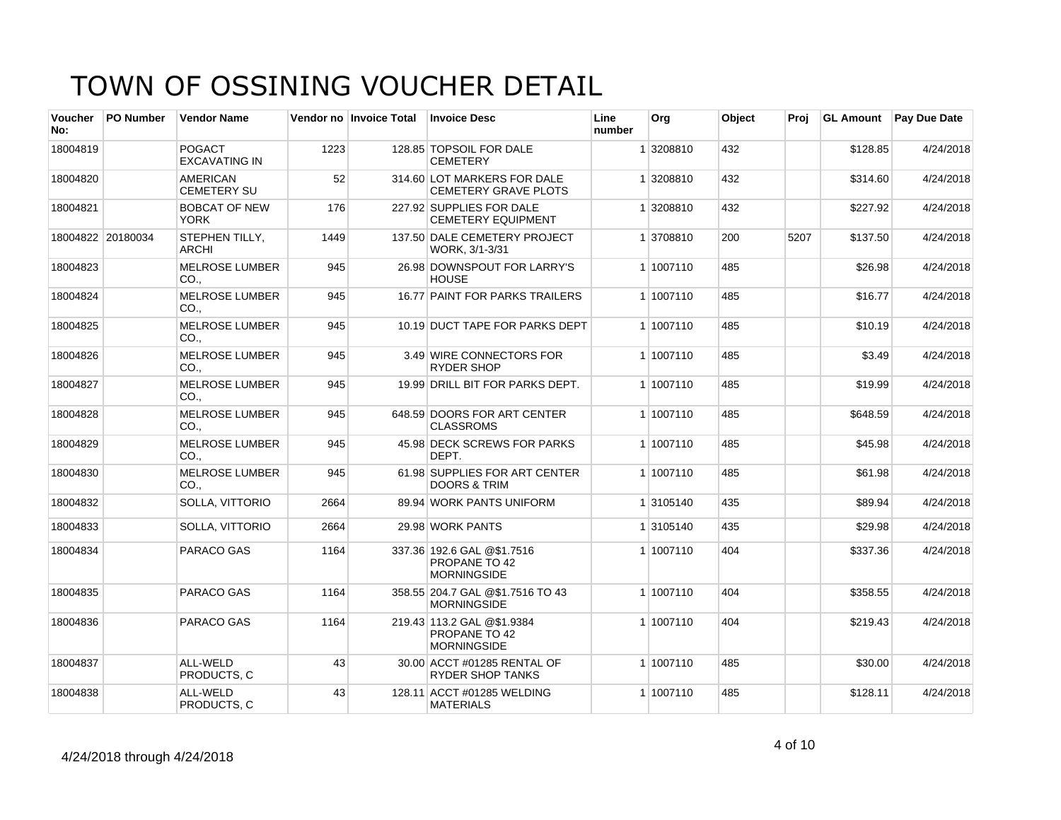| <b>Voucher</b><br>No: | <b>PO Number</b>  | <b>Vendor Name</b>                    |      | Vendor no Invoice Total | <b>Invoice Desc</b>                                                      | Line<br>number | Org       | Object | Proj |          | <b>GL Amount</b> Pay Due Date |
|-----------------------|-------------------|---------------------------------------|------|-------------------------|--------------------------------------------------------------------------|----------------|-----------|--------|------|----------|-------------------------------|
| 18004819              |                   | <b>POGACT</b><br><b>EXCAVATING IN</b> | 1223 |                         | 128.85 TOPSOIL FOR DALE<br><b>CEMETERY</b>                               |                | 1 3208810 | 432    |      | \$128.85 | 4/24/2018                     |
| 18004820              |                   | <b>AMERICAN</b><br><b>CEMETERY SU</b> | 52   |                         | 314.60 LOT MARKERS FOR DALE<br>CEMETERY GRAVE PLOTS                      |                | 1 3208810 | 432    |      | \$314.60 | 4/24/2018                     |
| 18004821              |                   | <b>BOBCAT OF NEW</b><br>YORK          | 176  |                         | 227.92 SUPPLIES FOR DALE<br><b>CEMETERY EQUIPMENT</b>                    |                | 1 3208810 | 432    |      | \$227.92 | 4/24/2018                     |
|                       | 18004822 20180034 | STEPHEN TILLY,<br><b>ARCHI</b>        | 1449 |                         | 137.50 DALE CEMETERY PROJECT<br>WORK, 3/1-3/31                           |                | 1 3708810 | 200    | 5207 | \$137.50 | 4/24/2018                     |
| 18004823              |                   | <b>MELROSE LUMBER</b><br>CO.,         | 945  |                         | 26.98 DOWNSPOUT FOR LARRY'S<br><b>HOUSE</b>                              |                | 1 1007110 | 485    |      | \$26.98  | 4/24/2018                     |
| 18004824              |                   | <b>MELROSE LUMBER</b><br>CO.          | 945  |                         | 16.77 PAINT FOR PARKS TRAILERS                                           |                | 1 1007110 | 485    |      | \$16.77  | 4/24/2018                     |
| 18004825              |                   | <b>MELROSE LUMBER</b><br>CO.,         | 945  |                         | 10.19 DUCT TAPE FOR PARKS DEPT                                           |                | 1 1007110 | 485    |      | \$10.19  | 4/24/2018                     |
| 18004826              |                   | <b>MELROSE LUMBER</b><br>CO.,         | 945  |                         | 3.49 WIRE CONNECTORS FOR<br><b>RYDER SHOP</b>                            |                | 1 1007110 | 485    |      | \$3.49   | 4/24/2018                     |
| 18004827              |                   | <b>MELROSE LUMBER</b><br>CO.,         | 945  |                         | 19.99 DRILL BIT FOR PARKS DEPT.                                          |                | 1 1007110 | 485    |      | \$19.99  | 4/24/2018                     |
| 18004828              |                   | <b>MELROSE LUMBER</b><br>CO.          | 945  |                         | 648.59 DOORS FOR ART CENTER<br><b>CLASSROMS</b>                          |                | 1 1007110 | 485    |      | \$648.59 | 4/24/2018                     |
| 18004829              |                   | <b>MELROSE LUMBER</b><br>CO.,         | 945  |                         | 45.98 DECK SCREWS FOR PARKS<br>DEPT.                                     |                | 1 1007110 | 485    |      | \$45.98  | 4/24/2018                     |
| 18004830              |                   | <b>MELROSE LUMBER</b><br>CO.,         | 945  |                         | 61.98 SUPPLIES FOR ART CENTER<br><b>DOORS &amp; TRIM</b>                 |                | 1 1007110 | 485    |      | \$61.98  | 4/24/2018                     |
| 18004832              |                   | SOLLA, VITTORIO                       | 2664 |                         | 89.94 WORK PANTS UNIFORM                                                 |                | 1 3105140 | 435    |      | \$89.94  | 4/24/2018                     |
| 18004833              |                   | SOLLA, VITTORIO                       | 2664 |                         | 29.98 WORK PANTS                                                         |                | 1 3105140 | 435    |      | \$29.98  | 4/24/2018                     |
| 18004834              |                   | PARACO GAS                            | 1164 |                         | 337.36 192.6 GAL @\$1.7516<br>PROPANE TO 42<br><b>MORNINGSIDE</b>        |                | 1 1007110 | 404    |      | \$337.36 | 4/24/2018                     |
| 18004835              |                   | PARACO GAS                            | 1164 |                         | 358.55 204.7 GAL @\$1.7516 TO 43<br><b>MORNINGSIDE</b>                   |                | 1 1007110 | 404    |      | \$358.55 | 4/24/2018                     |
| 18004836              |                   | PARACO GAS                            | 1164 |                         | 219.43 113.2 GAL @\$1.9384<br><b>PROPANE TO 42</b><br><b>MORNINGSIDE</b> |                | 1 1007110 | 404    |      | \$219.43 | 4/24/2018                     |
| 18004837              |                   | ALL-WELD<br>PRODUCTS, C               | 43   |                         | 30.00 ACCT #01285 RENTAL OF<br><b>RYDER SHOP TANKS</b>                   |                | 1 1007110 | 485    |      | \$30.00  | 4/24/2018                     |
| 18004838              |                   | ALL-WELD<br>PRODUCTS, C               | 43   |                         | 128.11 ACCT #01285 WELDING<br><b>MATERIALS</b>                           |                | 1 1007110 | 485    |      | \$128.11 | 4/24/2018                     |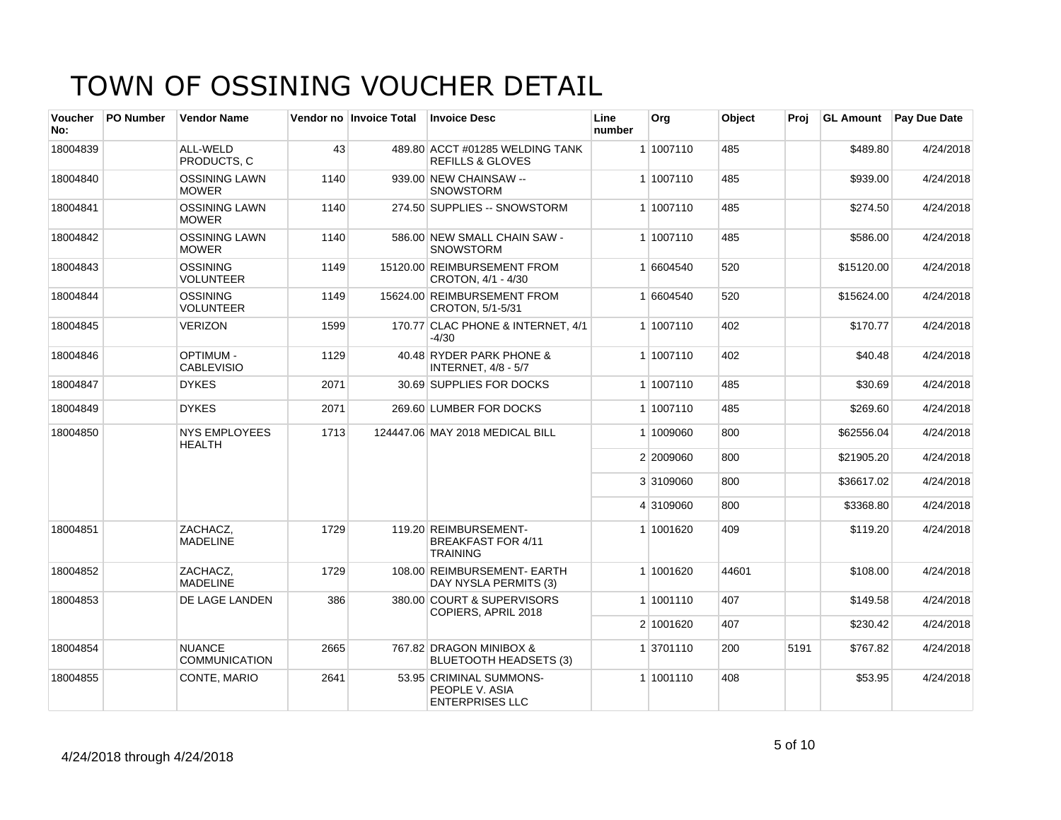| Voucher<br>No: | <b>PO Number</b> | <b>Vendor Name</b>                    |      | Vendor no Invoice Total | <b>Invoice Desc</b>                                                   | Line<br>number | Org       | Object | Proj | <b>GL Amount</b> | <b>Pay Due Date</b> |
|----------------|------------------|---------------------------------------|------|-------------------------|-----------------------------------------------------------------------|----------------|-----------|--------|------|------------------|---------------------|
| 18004839       |                  | ALL-WELD<br>PRODUCTS, C               | 43   |                         | 489.80 ACCT #01285 WELDING TANK<br><b>REFILLS &amp; GLOVES</b>        |                | 1 1007110 | 485    |      | \$489.80         | 4/24/2018           |
| 18004840       |                  | <b>OSSINING LAWN</b><br><b>MOWER</b>  | 1140 |                         | 939.00 NEW CHAINSAW --<br><b>SNOWSTORM</b>                            |                | 1 1007110 | 485    |      | \$939.00         | 4/24/2018           |
| 18004841       |                  | <b>OSSINING LAWN</b><br><b>MOWER</b>  | 1140 |                         | 274.50 SUPPLIES -- SNOWSTORM                                          |                | 1 1007110 | 485    |      | \$274.50         | 4/24/2018           |
| 18004842       |                  | <b>OSSINING LAWN</b><br><b>MOWER</b>  | 1140 |                         | 586.00 NEW SMALL CHAIN SAW -<br><b>SNOWSTORM</b>                      |                | 1 1007110 | 485    |      | \$586.00         | 4/24/2018           |
| 18004843       |                  | OSSINING<br><b>VOLUNTEER</b>          | 1149 |                         | 15120.00 REIMBURSEMENT FROM<br>CROTON, 4/1 - 4/30                     |                | 1 6604540 | 520    |      | \$15120.00       | 4/24/2018           |
| 18004844       |                  | <b>OSSINING</b><br><b>VOLUNTEER</b>   | 1149 |                         | 15624.00 REIMBURSEMENT FROM<br>CROTON, 5/1-5/31                       |                | 1 6604540 | 520    |      | \$15624.00       | 4/24/2018           |
| 18004845       |                  | <b>VERIZON</b>                        | 1599 |                         | 170.77 CLAC PHONE & INTERNET, 4/1<br>$-4/30$                          |                | 1 1007110 | 402    |      | \$170.77         | 4/24/2018           |
| 18004846       |                  | <b>OPTIMUM -</b><br><b>CABLEVISIO</b> | 1129 |                         | 40.48 RYDER PARK PHONE &<br><b>INTERNET, 4/8 - 5/7</b>                |                | 1 1007110 | 402    |      | \$40.48          | 4/24/2018           |
| 18004847       |                  | <b>DYKES</b>                          | 2071 |                         | 30.69 SUPPLIES FOR DOCKS                                              |                | 1 1007110 | 485    |      | \$30.69          | 4/24/2018           |
| 18004849       |                  | <b>DYKES</b>                          | 2071 |                         | 269.60 LUMBER FOR DOCKS                                               |                | 1 1007110 | 485    |      | \$269.60         | 4/24/2018           |
| 18004850       |                  | <b>NYS EMPLOYEES</b><br><b>HEALTH</b> | 1713 |                         | 124447.06 MAY 2018 MEDICAL BILL                                       |                | 1 1009060 | 800    |      | \$62556.04       | 4/24/2018           |
|                |                  |                                       |      |                         |                                                                       |                | 2 2009060 | 800    |      | \$21905.20       | 4/24/2018           |
|                |                  |                                       |      |                         |                                                                       |                | 3 3109060 | 800    |      | \$36617.02       | 4/24/2018           |
|                |                  |                                       |      |                         |                                                                       |                | 4 3109060 | 800    |      | \$3368.80        | 4/24/2018           |
| 18004851       |                  | ZACHACZ.<br><b>MADELINE</b>           | 1729 |                         | 119.20 REIMBURSEMENT-<br><b>BREAKFAST FOR 4/11</b><br><b>TRAINING</b> |                | 1 1001620 | 409    |      | \$119.20         | 4/24/2018           |
| 18004852       |                  | ZACHACZ,<br><b>MADELINE</b>           | 1729 |                         | 108.00 REIMBURSEMENT- EARTH<br>DAY NYSLA PERMITS (3)                  |                | 1 1001620 | 44601  |      | \$108.00         | 4/24/2018           |
| 18004853       |                  | <b>DE LAGE LANDEN</b>                 | 386  |                         | 380.00 COURT & SUPERVISORS<br>COPIERS, APRIL 2018                     |                | 1 1001110 | 407    |      | \$149.58         | 4/24/2018           |
|                |                  |                                       |      |                         |                                                                       |                | 2 1001620 | 407    |      | \$230.42         | 4/24/2018           |
| 18004854       |                  | <b>NUANCE</b><br><b>COMMUNICATION</b> | 2665 |                         | 767.82 DRAGON MINIBOX &<br><b>BLUETOOTH HEADSETS (3)</b>              |                | 1 3701110 | 200    | 5191 | \$767.82         | 4/24/2018           |
| 18004855       |                  | CONTE, MARIO                          | 2641 |                         | 53.95 CRIMINAL SUMMONS-<br>PEOPLE V. ASIA<br><b>ENTERPRISES LLC</b>   |                | 1 1001110 | 408    |      | \$53.95          | 4/24/2018           |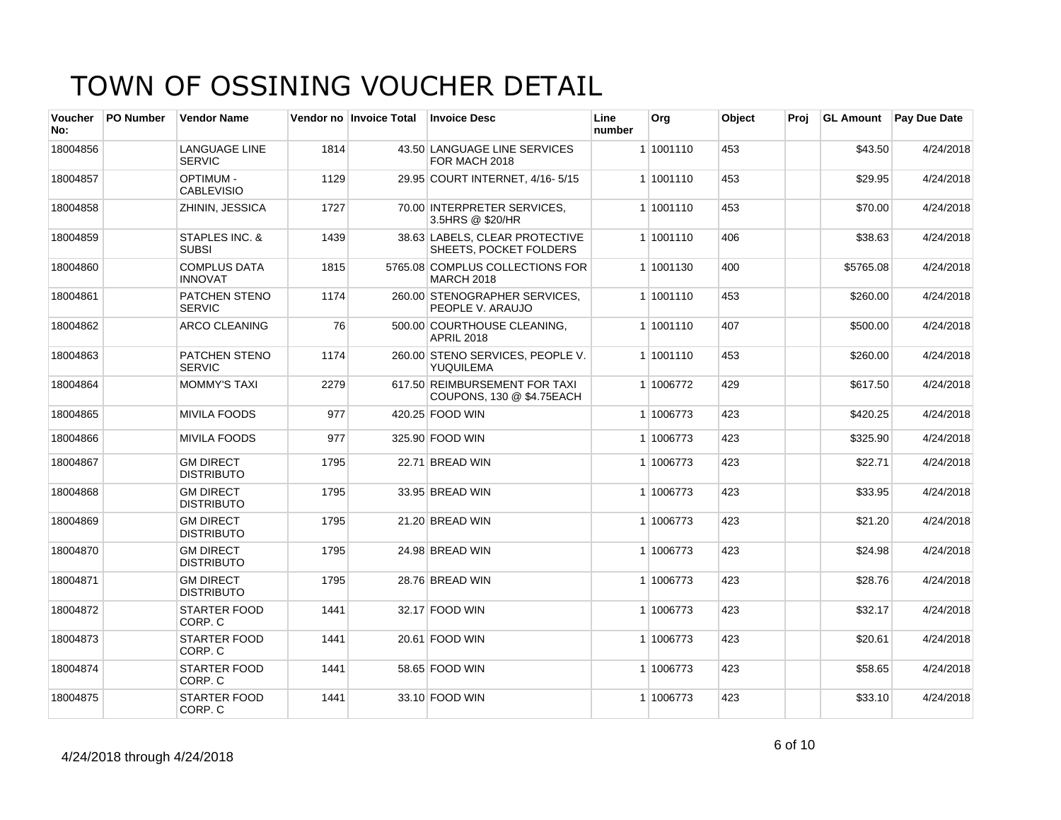| <b>Voucher</b><br>No: | <b>PO Number</b> | <b>Vendor Name</b>                    |      | Vendor no Invoice Total | <b>Invoice Desc</b>                                        | Line<br>number | Org       | Object | Proi | <b>GL Amount</b> | Pay Due Date |
|-----------------------|------------------|---------------------------------------|------|-------------------------|------------------------------------------------------------|----------------|-----------|--------|------|------------------|--------------|
| 18004856              |                  | <b>LANGUAGE LINE</b><br><b>SERVIC</b> | 1814 |                         | 43.50 LANGUAGE LINE SERVICES<br>FOR MACH 2018              |                | 1 1001110 | 453    |      | \$43.50          | 4/24/2018    |
| 18004857              |                  | <b>OPTIMUM -</b><br><b>CABLEVISIO</b> | 1129 |                         | 29.95 COURT INTERNET, 4/16-5/15                            |                | 1 1001110 | 453    |      | \$29.95          | 4/24/2018    |
| 18004858              |                  | ZHININ, JESSICA                       | 1727 |                         | 70.00 INTERPRETER SERVICES,<br>3.5HRS @ \$20/HR            |                | 1 1001110 | 453    |      | \$70.00          | 4/24/2018    |
| 18004859              |                  | STAPLES INC. &<br><b>SUBSI</b>        | 1439 |                         | 38.63 LABELS, CLEAR PROTECTIVE<br>SHEETS, POCKET FOLDERS   |                | 1 1001110 | 406    |      | \$38.63          | 4/24/2018    |
| 18004860              |                  | <b>COMPLUS DATA</b><br><b>INNOVAT</b> | 1815 |                         | 5765.08 COMPLUS COLLECTIONS FOR<br><b>MARCH 2018</b>       |                | 1 1001130 | 400    |      | \$5765.08        | 4/24/2018    |
| 18004861              |                  | <b>PATCHEN STENO</b><br><b>SERVIC</b> | 1174 |                         | 260.00 STENOGRAPHER SERVICES.<br>PEOPLE V. ARAUJO          |                | 1 1001110 | 453    |      | \$260.00         | 4/24/2018    |
| 18004862              |                  | <b>ARCO CLEANING</b>                  | 76   |                         | 500.00 COURTHOUSE CLEANING.<br><b>APRIL 2018</b>           |                | 1 1001110 | 407    |      | \$500.00         | 4/24/2018    |
| 18004863              |                  | PATCHEN STENO<br><b>SERVIC</b>        | 1174 |                         | 260.00 STENO SERVICES, PEOPLE V.<br>YUQUILEMA              |                | 1 1001110 | 453    |      | \$260.00         | 4/24/2018    |
| 18004864              |                  | <b>MOMMY'S TAXI</b>                   | 2279 |                         | 617.50 REIMBURSEMENT FOR TAXI<br>COUPONS, 130 @ \$4.75EACH |                | 1 1006772 | 429    |      | \$617.50         | 4/24/2018    |
| 18004865              |                  | <b>MIVILA FOODS</b>                   | 977  |                         | 420.25 FOOD WIN                                            |                | 1 1006773 | 423    |      | \$420.25         | 4/24/2018    |
| 18004866              |                  | <b>MIVILA FOODS</b>                   | 977  |                         | 325.90 FOOD WIN                                            |                | 1 1006773 | 423    |      | \$325.90         | 4/24/2018    |
| 18004867              |                  | <b>GM DIRECT</b><br><b>DISTRIBUTO</b> | 1795 |                         | 22.71 BREAD WIN                                            |                | 1 1006773 | 423    |      | \$22.71          | 4/24/2018    |
| 18004868              |                  | <b>GM DIRECT</b><br><b>DISTRIBUTO</b> | 1795 |                         | 33.95 BREAD WIN                                            |                | 1 1006773 | 423    |      | \$33.95          | 4/24/2018    |
| 18004869              |                  | <b>GM DIRECT</b><br><b>DISTRIBUTO</b> | 1795 |                         | 21.20 BREAD WIN                                            |                | 1 1006773 | 423    |      | \$21.20          | 4/24/2018    |
| 18004870              |                  | <b>GM DIRECT</b><br><b>DISTRIBUTO</b> | 1795 |                         | 24.98 BREAD WIN                                            |                | 1 1006773 | 423    |      | \$24.98          | 4/24/2018    |
| 18004871              |                  | <b>GM DIRECT</b><br><b>DISTRIBUTO</b> | 1795 |                         | 28.76 BREAD WIN                                            |                | 1 1006773 | 423    |      | \$28.76          | 4/24/2018    |
| 18004872              |                  | <b>STARTER FOOD</b><br>CORP. C        | 1441 |                         | 32.17 FOOD WIN                                             |                | 1 1006773 | 423    |      | \$32.17          | 4/24/2018    |
| 18004873              |                  | <b>STARTER FOOD</b><br>CORP. C        | 1441 |                         | 20.61 FOOD WIN                                             |                | 1 1006773 | 423    |      | \$20.61          | 4/24/2018    |
| 18004874              |                  | <b>STARTER FOOD</b><br>CORP. C        | 1441 |                         | 58.65 FOOD WIN                                             |                | 1 1006773 | 423    |      | \$58.65          | 4/24/2018    |
| 18004875              |                  | <b>STARTER FOOD</b><br>CORP. C        | 1441 |                         | 33.10 FOOD WIN                                             |                | 1 1006773 | 423    |      | \$33.10          | 4/24/2018    |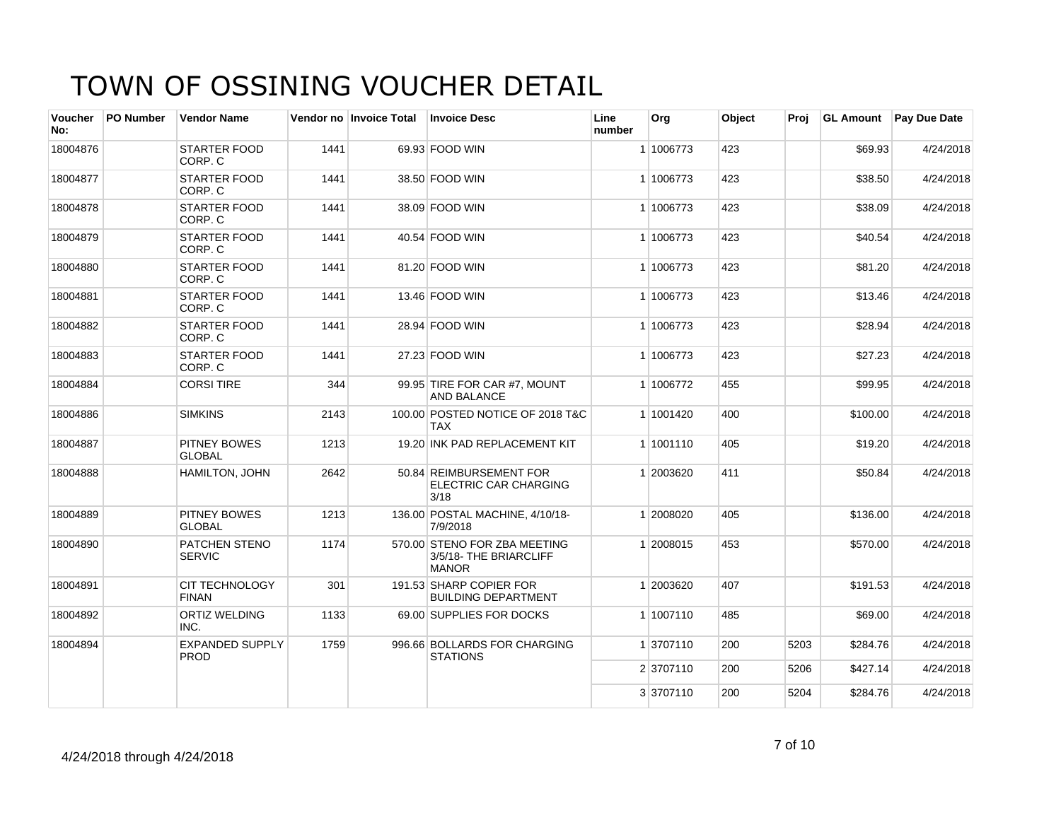| Voucher<br>No: | PO Number | <b>Vendor Name</b>                    |      | Vendor no Invoice Total | <b>Invoice Desc</b>                                                    | Line<br>number | Org       | Object | Proj |          | <b>GL Amount</b> Pay Due Date |
|----------------|-----------|---------------------------------------|------|-------------------------|------------------------------------------------------------------------|----------------|-----------|--------|------|----------|-------------------------------|
| 18004876       |           | STARTER FOOD<br>CORP. C               | 1441 |                         | 69.93 FOOD WIN                                                         |                | 1 1006773 | 423    |      | \$69.93  | 4/24/2018                     |
| 18004877       |           | STARTER FOOD<br>CORP. C               | 1441 |                         | 38.50 FOOD WIN                                                         |                | 1 1006773 | 423    |      | \$38.50  | 4/24/2018                     |
| 18004878       |           | <b>STARTER FOOD</b><br>CORP. C        | 1441 |                         | 38.09 FOOD WIN                                                         |                | 1 1006773 | 423    |      | \$38.09  | 4/24/2018                     |
| 18004879       |           | STARTER FOOD<br>CORP. C               | 1441 |                         | 40.54 FOOD WIN                                                         |                | 1 1006773 | 423    |      | \$40.54  | 4/24/2018                     |
| 18004880       |           | <b>STARTER FOOD</b><br>CORP. C        | 1441 |                         | 81.20 FOOD WIN                                                         |                | 1 1006773 | 423    |      | \$81.20  | 4/24/2018                     |
| 18004881       |           | <b>STARTER FOOD</b><br>CORP. C        | 1441 |                         | 13.46 FOOD WIN                                                         |                | 1 1006773 | 423    |      | \$13.46  | 4/24/2018                     |
| 18004882       |           | <b>STARTER FOOD</b><br>CORP. C        | 1441 |                         | 28.94 FOOD WIN                                                         |                | 1 1006773 | 423    |      | \$28.94  | 4/24/2018                     |
| 18004883       |           | STARTER FOOD<br>CORP. C               | 1441 |                         | 27.23 FOOD WIN                                                         |                | 1 1006773 | 423    |      | \$27.23  | 4/24/2018                     |
| 18004884       |           | <b>CORSI TIRE</b>                     | 344  |                         | 99.95 TIRE FOR CAR #7, MOUNT<br>AND BALANCE                            |                | 1 1006772 | 455    |      | \$99.95  | 4/24/2018                     |
| 18004886       |           | <b>SIMKINS</b>                        | 2143 |                         | 100.00 POSTED NOTICE OF 2018 T&C<br><b>TAX</b>                         |                | 1 1001420 | 400    |      | \$100.00 | 4/24/2018                     |
| 18004887       |           | <b>PITNEY BOWES</b><br><b>GLOBAL</b>  | 1213 |                         | 19.20 INK PAD REPLACEMENT KIT                                          |                | 1 1001110 | 405    |      | \$19.20  | 4/24/2018                     |
| 18004888       |           | <b>HAMILTON, JOHN</b>                 | 2642 |                         | 50.84 REIMBURSEMENT FOR<br><b>ELECTRIC CAR CHARGING</b><br>3/18        |                | 1 2003620 | 411    |      | \$50.84  | 4/24/2018                     |
| 18004889       |           | PITNEY BOWES<br><b>GLOBAL</b>         | 1213 |                         | 136.00 POSTAL MACHINE, 4/10/18-<br>7/9/2018                            |                | 1 2008020 | 405    |      | \$136.00 | 4/24/2018                     |
| 18004890       |           | PATCHEN STENO<br><b>SERVIC</b>        | 1174 |                         | 570.00 STENO FOR ZBA MEETING<br>3/5/18- THE BRIARCLIFF<br><b>MANOR</b> |                | 1 2008015 | 453    |      | \$570.00 | 4/24/2018                     |
| 18004891       |           | <b>CIT TECHNOLOGY</b><br><b>FINAN</b> | 301  |                         | 191.53 SHARP COPIER FOR<br><b>BUILDING DEPARTMENT</b>                  |                | 1 2003620 | 407    |      | \$191.53 | 4/24/2018                     |
| 18004892       |           | <b>ORTIZ WELDING</b><br>INC.          | 1133 |                         | 69.00 SUPPLIES FOR DOCKS                                               |                | 1 1007110 | 485    |      | \$69.00  | 4/24/2018                     |
| 18004894       |           | <b>EXPANDED SUPPLY</b><br><b>PROD</b> | 1759 |                         | 996.66 BOLLARDS FOR CHARGING<br><b>STATIONS</b>                        |                | 1 3707110 | 200    | 5203 | \$284.76 | 4/24/2018                     |
|                |           |                                       |      |                         |                                                                        |                | 2 3707110 | 200    | 5206 | \$427.14 | 4/24/2018                     |
|                |           |                                       |      |                         |                                                                        |                | 3 3707110 | 200    | 5204 | \$284.76 | 4/24/2018                     |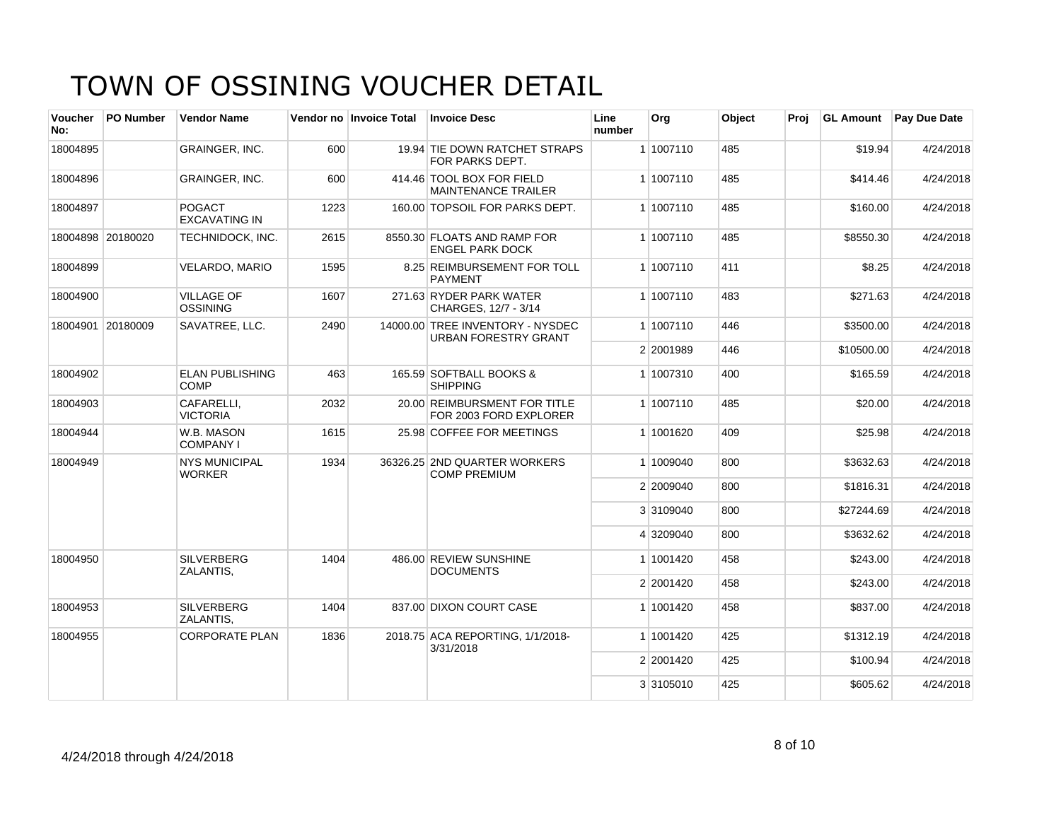| Voucher<br>No:    | <b>PO Number</b>  | <b>Vendor Name</b>                    |      | Vendor no Invoice Total | <b>Invoice Desc</b>                                             | Line<br>number | Org       | Object | Proi | <b>GL Amount</b> | <b>Pay Due Date</b> |
|-------------------|-------------------|---------------------------------------|------|-------------------------|-----------------------------------------------------------------|----------------|-----------|--------|------|------------------|---------------------|
| 18004895          |                   | GRAINGER, INC.                        | 600  |                         | 19.94 TIE DOWN RATCHET STRAPS<br>FOR PARKS DEPT.                |                | 1 1007110 | 485    |      | \$19.94          | 4/24/2018           |
| 18004896          |                   | GRAINGER, INC.                        | 600  |                         | 414.46 TOOL BOX FOR FIELD<br><b>MAINTENANCE TRAILER</b>         |                | 1 1007110 | 485    |      | \$414.46         | 4/24/2018           |
| 18004897          |                   | <b>POGACT</b><br><b>EXCAVATING IN</b> | 1223 |                         | 160.00 TOPSOIL FOR PARKS DEPT.                                  |                | 1 1007110 | 485    |      | \$160.00         | 4/24/2018           |
| 18004898 20180020 |                   | TECHNIDOCK, INC.                      | 2615 |                         | 8550.30 FLOATS AND RAMP FOR<br><b>ENGEL PARK DOCK</b>           |                | 1 1007110 | 485    |      | \$8550.30        | 4/24/2018           |
| 18004899          |                   | VELARDO, MARIO                        | 1595 |                         | 8.25 REIMBURSEMENT FOR TOLL<br><b>PAYMENT</b>                   |                | 1 1007110 | 411    |      | \$8.25           | 4/24/2018           |
| 18004900          |                   | <b>VILLAGE OF</b><br><b>OSSINING</b>  | 1607 |                         | 271.63 RYDER PARK WATER<br>CHARGES, 12/7 - 3/14                 |                | 1 1007110 | 483    |      | \$271.63         | 4/24/2018           |
|                   | 18004901 20180009 | SAVATREE, LLC.                        | 2490 |                         | 14000.00 TREE INVENTORY - NYSDEC<br><b>URBAN FORESTRY GRANT</b> |                | 1 1007110 | 446    |      | \$3500.00        | 4/24/2018           |
|                   |                   |                                       |      |                         |                                                                 |                | 2 2001989 | 446    |      | \$10500.00       | 4/24/2018           |
| 18004902          |                   | <b>ELAN PUBLISHING</b><br><b>COMP</b> | 463  |                         | 165.59 SOFTBALL BOOKS &<br><b>SHIPPING</b>                      |                | 1 1007310 | 400    |      | \$165.59         | 4/24/2018           |
| 18004903          |                   | CAFARELLI.<br><b>VICTORIA</b>         | 2032 |                         | 20.00 REIMBURSMENT FOR TITLE<br>FOR 2003 FORD EXPLORER          |                | 1 1007110 | 485    |      | \$20.00          | 4/24/2018           |
| 18004944          |                   | W.B. MASON<br><b>COMPANY I</b>        | 1615 |                         | 25.98 COFFEE FOR MEETINGS                                       |                | 1 1001620 | 409    |      | \$25.98          | 4/24/2018           |
| 18004949          |                   | <b>NYS MUNICIPAL</b><br><b>WORKER</b> | 1934 |                         | 36326.25 2ND QUARTER WORKERS<br><b>COMP PREMIUM</b>             |                | 1 1009040 | 800    |      | \$3632.63        | 4/24/2018           |
|                   |                   |                                       |      |                         |                                                                 |                | 2 2009040 | 800    |      | \$1816.31        | 4/24/2018           |
|                   |                   |                                       |      |                         |                                                                 |                | 3 3109040 | 800    |      | \$27244.69       | 4/24/2018           |
|                   |                   |                                       |      |                         |                                                                 |                | 4 3209040 | 800    |      | \$3632.62        | 4/24/2018           |
| 18004950          |                   | <b>SILVERBERG</b><br>ZALANTIS,        | 1404 |                         | 486.00 REVIEW SUNSHINE<br><b>DOCUMENTS</b>                      |                | 1 1001420 | 458    |      | \$243.00         | 4/24/2018           |
|                   |                   |                                       |      |                         |                                                                 |                | 2 2001420 | 458    |      | \$243.00         | 4/24/2018           |
| 18004953          |                   | <b>SILVERBERG</b><br>ZALANTIS.        | 1404 |                         | 837.00 DIXON COURT CASE                                         |                | 1 1001420 | 458    |      | \$837.00         | 4/24/2018           |
| 18004955          |                   | <b>CORPORATE PLAN</b>                 | 1836 |                         | 2018.75 ACA REPORTING, 1/1/2018-<br>3/31/2018                   |                | 1 1001420 | 425    |      | \$1312.19        | 4/24/2018           |
|                   |                   |                                       |      |                         |                                                                 |                | 2 2001420 | 425    |      | \$100.94         | 4/24/2018           |
|                   |                   |                                       |      |                         |                                                                 |                | 3 3105010 | 425    |      | \$605.62         | 4/24/2018           |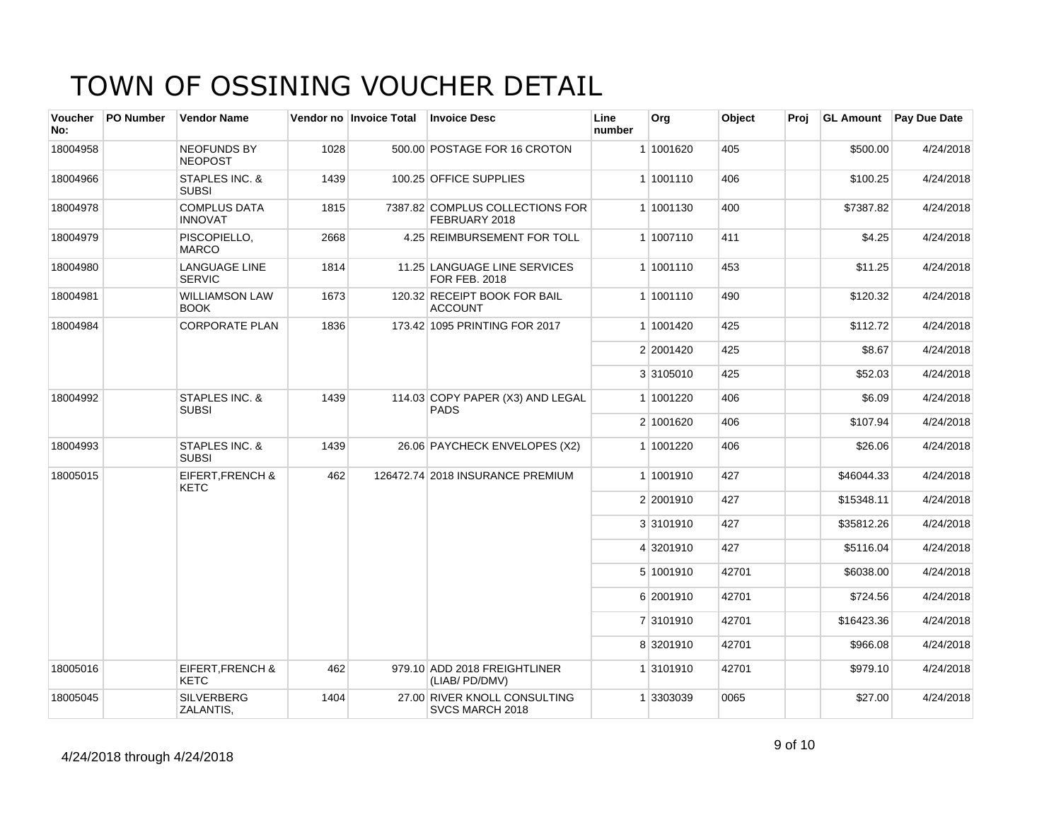| <b>Voucher</b><br>No: | <b>PO Number</b> | <b>Vendor Name</b>                         |      | Vendor no Invoice Total | <b>Invoice Desc</b>                                  | Line<br>number | Org       | Object | Proj | <b>GL Amount</b> | Pay Due Date |
|-----------------------|------------------|--------------------------------------------|------|-------------------------|------------------------------------------------------|----------------|-----------|--------|------|------------------|--------------|
| 18004958              |                  | <b>NEOFUNDS BY</b><br><b>NEOPOST</b>       | 1028 |                         | 500.00 POSTAGE FOR 16 CROTON                         |                | 1 1001620 | 405    |      | \$500.00         | 4/24/2018    |
| 18004966              |                  | STAPLES INC. &<br><b>SUBSI</b>             | 1439 |                         | 100.25 OFFICE SUPPLIES                               |                | 1 1001110 | 406    |      | \$100.25         | 4/24/2018    |
| 18004978              |                  | <b>COMPLUS DATA</b><br><b>INNOVAT</b>      | 1815 |                         | 7387.82 COMPLUS COLLECTIONS FOR<br>FEBRUARY 2018     |                | 1 1001130 | 400    |      | \$7387.82        | 4/24/2018    |
| 18004979              |                  | PISCOPIELLO,<br><b>MARCO</b>               | 2668 |                         | 4.25 REIMBURSEMENT FOR TOLL                          |                | 1 1007110 | 411    |      | \$4.25           | 4/24/2018    |
| 18004980              |                  | <b>LANGUAGE LINE</b><br><b>SERVIC</b>      | 1814 |                         | 11.25 LANGUAGE LINE SERVICES<br><b>FOR FEB. 2018</b> |                | 1 1001110 | 453    |      | \$11.25          | 4/24/2018    |
| 18004981              |                  | <b>WILLIAMSON LAW</b><br><b>BOOK</b>       | 1673 |                         | 120.32 RECEIPT BOOK FOR BAIL<br><b>ACCOUNT</b>       |                | 1 1001110 | 490    |      | \$120.32         | 4/24/2018    |
| 18004984              |                  | <b>CORPORATE PLAN</b>                      | 1836 |                         | 173.42 1095 PRINTING FOR 2017                        |                | 1 1001420 | 425    |      | \$112.72         | 4/24/2018    |
|                       |                  |                                            |      |                         |                                                      |                | 2 2001420 | 425    |      | \$8.67           | 4/24/2018    |
|                       |                  |                                            |      |                         |                                                      |                | 3 3105010 | 425    |      | \$52.03          | 4/24/2018    |
| 18004992              |                  | STAPLES INC. &<br><b>SUBSI</b>             | 1439 |                         | 114.03 COPY PAPER (X3) AND LEGAL<br><b>PADS</b>      |                | 1 1001220 | 406    |      | \$6.09           | 4/24/2018    |
|                       |                  |                                            |      |                         |                                                      |                | 2 1001620 | 406    |      | \$107.94         | 4/24/2018    |
| 18004993              |                  | STAPLES INC. &<br><b>SUBSI</b>             | 1439 |                         | 26.06 PAYCHECK ENVELOPES (X2)                        |                | 1 1001220 | 406    |      | \$26.06          | 4/24/2018    |
| 18005015              |                  | EIFERT, FRENCH &<br><b>KETC</b>            | 462  |                         | 126472.74 2018 INSURANCE PREMIUM                     |                | 1 1001910 | 427    |      | \$46044.33       | 4/24/2018    |
|                       |                  |                                            |      |                         |                                                      |                | 2 2001910 | 427    |      | \$15348.11       | 4/24/2018    |
|                       |                  |                                            |      |                         |                                                      |                | 3 3101910 | 427    |      | \$35812.26       | 4/24/2018    |
|                       |                  |                                            |      |                         |                                                      |                | 4 3201910 | 427    |      | \$5116.04        | 4/24/2018    |
|                       |                  |                                            |      |                         |                                                      |                | 5 1001910 | 42701  |      | \$6038.00        | 4/24/2018    |
|                       |                  |                                            |      |                         |                                                      |                | 6 2001910 | 42701  |      | \$724.56         | 4/24/2018    |
|                       |                  |                                            |      |                         |                                                      |                | 7 3101910 | 42701  |      | \$16423.36       | 4/24/2018    |
|                       |                  |                                            |      |                         |                                                      |                | 8 3201910 | 42701  |      | \$966.08         | 4/24/2018    |
| 18005016              |                  | <b>EIFERT, FRENCH &amp;</b><br><b>KETC</b> | 462  |                         | 979.10 ADD 2018 FREIGHTLINER<br>(LIAB/ PD/DMV)       |                | 1 3101910 | 42701  |      | \$979.10         | 4/24/2018    |
| 18005045              |                  | <b>SILVERBERG</b><br>ZALANTIS,             | 1404 |                         | 27.00 RIVER KNOLL CONSULTING<br>SVCS MARCH 2018      |                | 1 3303039 | 0065   |      | \$27.00          | 4/24/2018    |